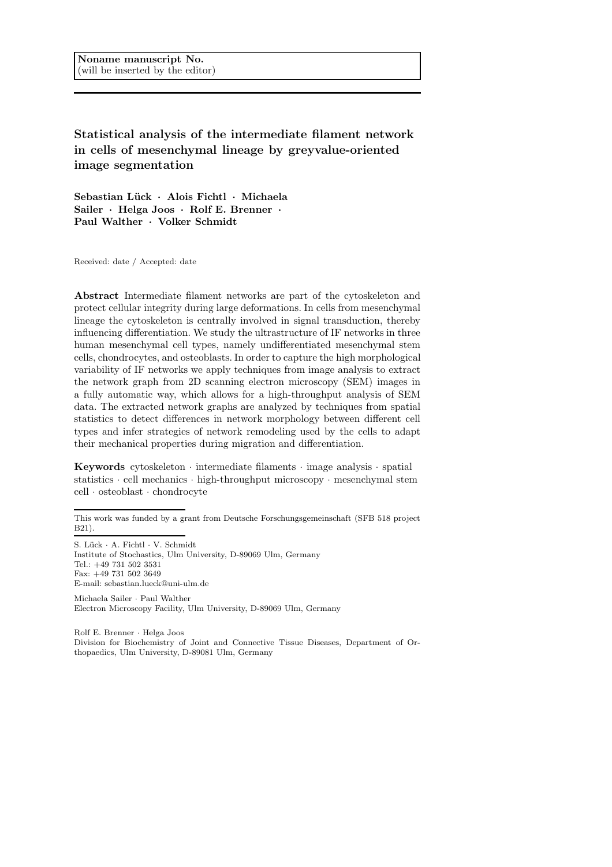Statistical analysis of the intermediate filament network in cells of mesenchymal lineage by greyvalue-oriented image segmentation

Sebastian Lück · Alois Fichtl · Michaela Sailer · Helga Joos · Rolf E. Brenner · Paul Walther · Volker Schmidt

Received: date / Accepted: date

Abstract Intermediate filament networks are part of the cytoskeleton and protect cellular integrity during large deformations. In cells from mesenchymal lineage the cytoskeleton is centrally involved in signal transduction, thereby influencing differentiation. We study the ultrastructure of IF networks in three human mesenchymal cell types, namely undifferentiated mesenchymal stem cells, chondrocytes, and osteoblasts. In order to capture the high morphological variability of IF networks we apply techniques from image analysis to extract the network graph from 2D scanning electron microscopy (SEM) images in a fully automatic way, which allows for a high-throughput analysis of SEM data. The extracted network graphs are analyzed by techniques from spatial statistics to detect differences in network morphology between different cell types and infer strategies of network remodeling used by the cells to adapt their mechanical properties during migration and differentiation.

Keywords cytoskeleton  $\cdot$  intermediate filaments  $\cdot$  image analysis  $\cdot$  spatial statistics · cell mechanics · high-throughput microscopy · mesenchymal stem cell · osteoblast · chondrocyte

Michaela Sailer · Paul Walther Electron Microscopy Facility, Ulm University, D-89069 Ulm, Germany

Rolf E. Brenner · Helga Joos Division for Biochemistry of Joint and Connective Tissue Diseases, Department of Orthopaedics, Ulm University, D-89081 Ulm, Germany

This work was funded by a grant from Deutsche Forschungsgemeinschaft (SFB 518 project B21).

S. Lück · A. Fichtl · V. Schmidt Institute of Stochastics, Ulm University, D-89069 Ulm, Germany Tel.: +49 731 502 3531 Fax: +49 731 502 3649 E-mail: sebastian.lueck@uni-ulm.de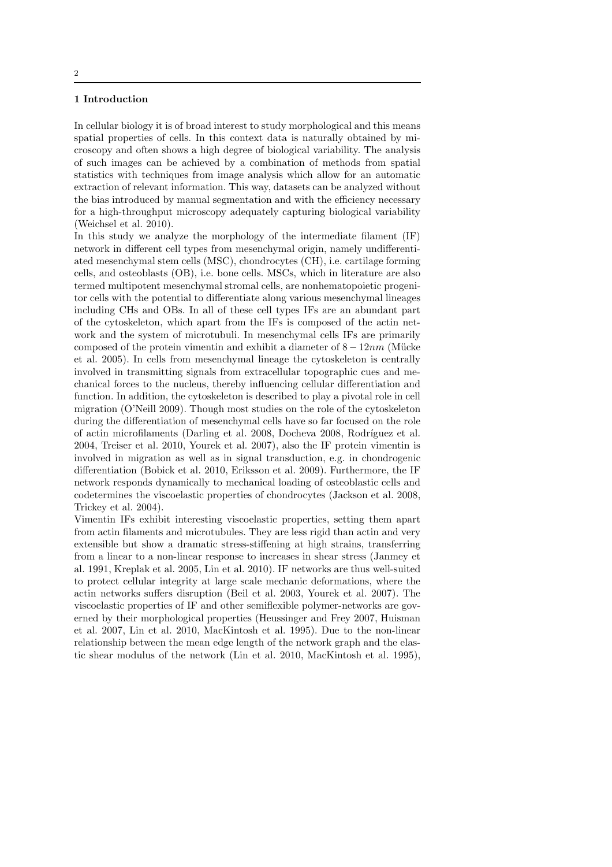## 1 Introduction

In cellular biology it is of broad interest to study morphological and this means spatial properties of cells. In this context data is naturally obtained by microscopy and often shows a high degree of biological variability. The analysis of such images can be achieved by a combination of methods from spatial statistics with techniques from image analysis which allow for an automatic extraction of relevant information. This way, datasets can be analyzed without the bias introduced by manual segmentation and with the efficiency necessary for a high-throughput microscopy adequately capturing biological variability (Weichsel et al. 2010).

In this study we analyze the morphology of the intermediate filament (IF) network in different cell types from mesenchymal origin, namely undifferentiated mesenchymal stem cells (MSC), chondrocytes (CH), i.e. cartilage forming cells, and osteoblasts (OB), i.e. bone cells. MSCs, which in literature are also termed multipotent mesenchymal stromal cells, are nonhematopoietic progenitor cells with the potential to differentiate along various mesenchymal lineages including CHs and OBs. In all of these cell types IFs are an abundant part of the cytoskeleton, which apart from the IFs is composed of the actin network and the system of microtubuli. In mesenchymal cells IFs are primarily composed of the protein vimentin and exhibit a diameter of  $8 - 12nm$  (Mücke et al. 2005). In cells from mesenchymal lineage the cytoskeleton is centrally involved in transmitting signals from extracellular topographic cues and mechanical forces to the nucleus, thereby influencing cellular differentiation and function. In addition, the cytoskeleton is described to play a pivotal role in cell migration (O'Neill 2009). Though most studies on the role of the cytoskeleton during the differentiation of mesenchymal cells have so far focused on the role of actin microfilaments (Darling et al. 2008, Docheva 2008, Rodríguez et al. 2004, Treiser et al. 2010, Yourek et al. 2007), also the IF protein vimentin is involved in migration as well as in signal transduction, e.g. in chondrogenic differentiation (Bobick et al. 2010, Eriksson et al. 2009). Furthermore, the IF network responds dynamically to mechanical loading of osteoblastic cells and codetermines the viscoelastic properties of chondrocytes (Jackson et al. 2008, Trickey et al. 2004).

Vimentin IFs exhibit interesting viscoelastic properties, setting them apart from actin filaments and microtubules. They are less rigid than actin and very extensible but show a dramatic stress-stiffening at high strains, transferring from a linear to a non-linear response to increases in shear stress (Janmey et al. 1991, Kreplak et al. 2005, Lin et al. 2010). IF networks are thus well-suited to protect cellular integrity at large scale mechanic deformations, where the actin networks suffers disruption (Beil et al. 2003, Yourek et al. 2007). The viscoelastic properties of IF and other semiflexible polymer-networks are governed by their morphological properties (Heussinger and Frey 2007, Huisman et al. 2007, Lin et al. 2010, MacKintosh et al. 1995). Due to the non-linear relationship between the mean edge length of the network graph and the elastic shear modulus of the network (Lin et al. 2010, MacKintosh et al. 1995),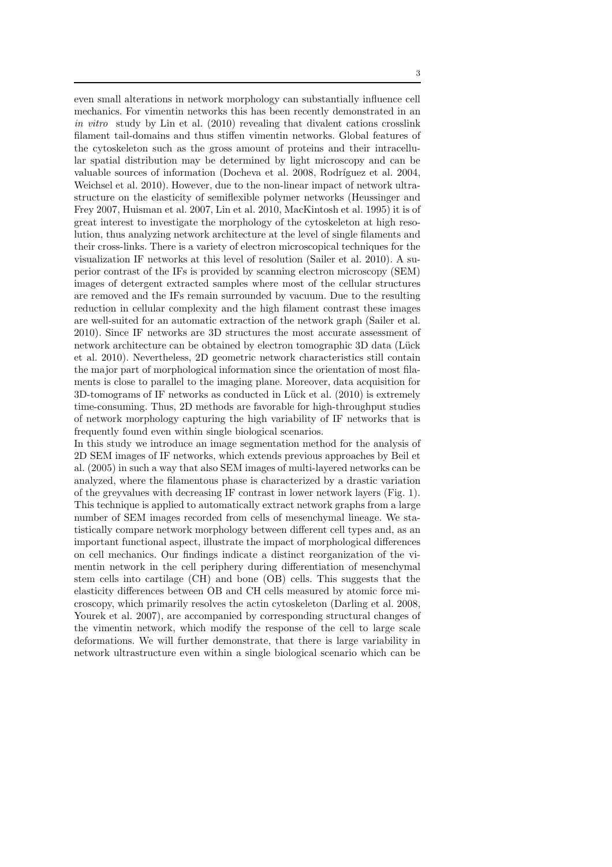even small alterations in network morphology can substantially influence cell mechanics. For vimentin networks this has been recently demonstrated in an in vitro study by Lin et al. (2010) revealing that divalent cations crosslink filament tail-domains and thus stiffen vimentin networks. Global features of the cytoskeleton such as the gross amount of proteins and their intracellular spatial distribution may be determined by light microscopy and can be valuable sources of information (Docheva et al. 2008, Rodríguez et al. 2004, Weichsel et al. 2010). However, due to the non-linear impact of network ultrastructure on the elasticity of semiflexible polymer networks (Heussinger and Frey 2007, Huisman et al. 2007, Lin et al. 2010, MacKintosh et al. 1995) it is of great interest to investigate the morphology of the cytoskeleton at high resolution, thus analyzing network architecture at the level of single filaments and their cross-links. There is a variety of electron microscopical techniques for the visualization IF networks at this level of resolution (Sailer et al. 2010). A superior contrast of the IFs is provided by scanning electron microscopy (SEM) images of detergent extracted samples where most of the cellular structures are removed and the IFs remain surrounded by vacuum. Due to the resulting reduction in cellular complexity and the high filament contrast these images are well-suited for an automatic extraction of the network graph (Sailer et al. 2010). Since IF networks are 3D structures the most accurate assessment of network architecture can be obtained by electron tomographic 3D data (Lück et al. 2010). Nevertheless, 2D geometric network characteristics still contain the major part of morphological information since the orientation of most filaments is close to parallel to the imaging plane. Moreover, data acquisition for  $3D$ -tomograms of IF networks as conducted in Lück et al.  $(2010)$  is extremely time-consuming. Thus, 2D methods are favorable for high-throughput studies of network morphology capturing the high variability of IF networks that is frequently found even within single biological scenarios.

In this study we introduce an image segmentation method for the analysis of 2D SEM images of IF networks, which extends previous approaches by Beil et al. (2005) in such a way that also SEM images of multi-layered networks can be analyzed, where the filamentous phase is characterized by a drastic variation of the greyvalues with decreasing IF contrast in lower network layers (Fig. 1). This technique is applied to automatically extract network graphs from a large number of SEM images recorded from cells of mesenchymal lineage. We statistically compare network morphology between different cell types and, as an important functional aspect, illustrate the impact of morphological differences on cell mechanics. Our findings indicate a distinct reorganization of the vimentin network in the cell periphery during differentiation of mesenchymal stem cells into cartilage (CH) and bone (OB) cells. This suggests that the elasticity differences between OB and CH cells measured by atomic force microscopy, which primarily resolves the actin cytoskeleton (Darling et al. 2008, Yourek et al. 2007), are accompanied by corresponding structural changes of the vimentin network, which modify the response of the cell to large scale deformations. We will further demonstrate, that there is large variability in network ultrastructure even within a single biological scenario which can be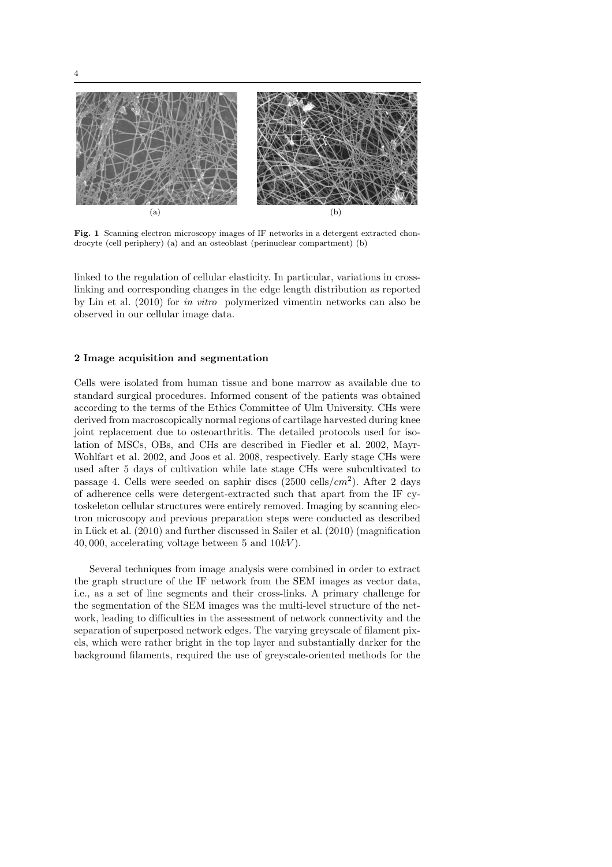

Fig. 1 Scanning electron microscopy images of IF networks in a detergent extracted chondrocyte (cell periphery) (a) and an osteoblast (perinuclear compartment) (b)

linked to the regulation of cellular elasticity. In particular, variations in crosslinking and corresponding changes in the edge length distribution as reported by Lin et al. (2010) for in vitro polymerized vimentin networks can also be observed in our cellular image data.

# 2 Image acquisition and segmentation

Cells were isolated from human tissue and bone marrow as available due to standard surgical procedures. Informed consent of the patients was obtained according to the terms of the Ethics Committee of Ulm University. CHs were derived from macroscopically normal regions of cartilage harvested during knee joint replacement due to osteoarthritis. The detailed protocols used for isolation of MSCs, OBs, and CHs are described in Fiedler et al. 2002, Mayr-Wohlfart et al. 2002, and Joos et al. 2008, respectively. Early stage CHs were used after 5 days of cultivation while late stage CHs were subcultivated to passage 4. Cells were seeded on saphir discs  $(2500 \text{ cells}/cm^2)$ . After 2 days of adherence cells were detergent-extracted such that apart from the IF cytoskeleton cellular structures were entirely removed. Imaging by scanning electron microscopy and previous preparation steps were conducted as described in Lück et al.  $(2010)$  and further discussed in Sailer et al.  $(2010)$  (magnification 40, 000, accelerating voltage between 5 and  $10kV$ ).

Several techniques from image analysis were combined in order to extract the graph structure of the IF network from the SEM images as vector data, i.e., as a set of line segments and their cross-links. A primary challenge for the segmentation of the SEM images was the multi-level structure of the network, leading to difficulties in the assessment of network connectivity and the separation of superposed network edges. The varying greyscale of filament pixels, which were rather bright in the top layer and substantially darker for the background filaments, required the use of greyscale-oriented methods for the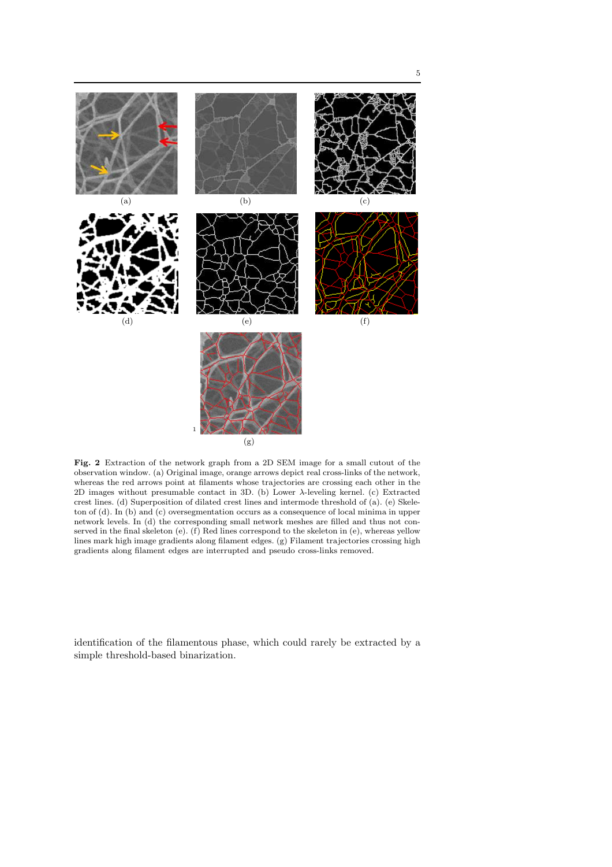

Fig. 2 Extraction of the network graph from a 2D SEM image for a small cutout of the observation window. (a) Original image, orange arrows depict real cross-links of the network, whereas the red arrows point at filaments whose trajectories are crossing each other in the 2D images without presumable contact in 3D. (b) Lower λ-leveling kernel. (c) Extracted crest lines. (d) Superposition of dilated crest lines and intermode threshold of (a). (e) Skeleton of (d). In (b) and (c) oversegmentation occurs as a consequence of local minima in upper network levels. In (d) the corresponding small network meshes are filled and thus not conserved in the final skeleton (e). (f) Red lines correspond to the skeleton in (e), whereas yellow lines mark high image gradients along filament edges. (g) Filament trajectories crossing high gradients along filament edges are interrupted and pseudo cross-links removed.

identification of the filamentous phase, which could rarely be extracted by a simple threshold-based binarization.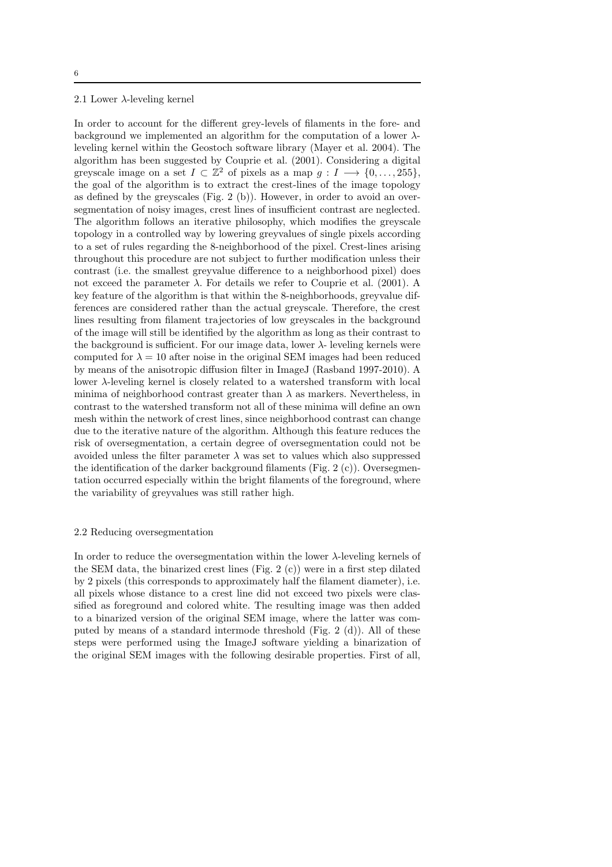# 6

# 2.1 Lower  $\lambda$ -leveling kernel

In order to account for the different grey-levels of filaments in the fore- and background we implemented an algorithm for the computation of a lower  $\lambda$ leveling kernel within the Geostoch software library (Mayer et al. 2004). The algorithm has been suggested by Couprie et al. (2001). Considering a digital greyscale image on a set  $I \subset \mathbb{Z}^2$  of pixels as a map  $g : I \longrightarrow \{0, \ldots, 255\},\$ the goal of the algorithm is to extract the crest-lines of the image topology as defined by the greyscales (Fig. 2 (b)). However, in order to avoid an oversegmentation of noisy images, crest lines of insufficient contrast are neglected. The algorithm follows an iterative philosophy, which modifies the greyscale topology in a controlled way by lowering greyvalues of single pixels according to a set of rules regarding the 8-neighborhood of the pixel. Crest-lines arising throughout this procedure are not subject to further modification unless their contrast (i.e. the smallest greyvalue difference to a neighborhood pixel) does not exceed the parameter  $\lambda$ . For details we refer to Couprie et al. (2001). A key feature of the algorithm is that within the 8-neighborhoods, greyvalue differences are considered rather than the actual greyscale. Therefore, the crest lines resulting from filament trajectories of low greyscales in the background of the image will still be identified by the algorithm as long as their contrast to the background is sufficient. For our image data, lower  $\lambda$ - leveling kernels were computed for  $\lambda = 10$  after noise in the original SEM images had been reduced by means of the anisotropic diffusion filter in ImageJ (Rasband 1997-2010). A lower λ-leveling kernel is closely related to a watershed transform with local minima of neighborhood contrast greater than  $\lambda$  as markers. Nevertheless, in contrast to the watershed transform not all of these minima will define an own mesh within the network of crest lines, since neighborhood contrast can change due to the iterative nature of the algorithm. Although this feature reduces the risk of oversegmentation, a certain degree of oversegmentation could not be avoided unless the filter parameter  $\lambda$  was set to values which also suppressed the identification of the darker background filaments (Fig. 2  $(c)$ ). Oversegmentation occurred especially within the bright filaments of the foreground, where the variability of greyvalues was still rather high.

#### 2.2 Reducing oversegmentation

In order to reduce the oversegmentation within the lower  $\lambda$ -leveling kernels of the SEM data, the binarized crest lines (Fig. 2  $(c)$ ) were in a first step dilated by 2 pixels (this corresponds to approximately half the filament diameter), i.e. all pixels whose distance to a crest line did not exceed two pixels were classified as foreground and colored white. The resulting image was then added to a binarized version of the original SEM image, where the latter was computed by means of a standard intermode threshold (Fig. 2 (d)). All of these steps were performed using the ImageJ software yielding a binarization of the original SEM images with the following desirable properties. First of all,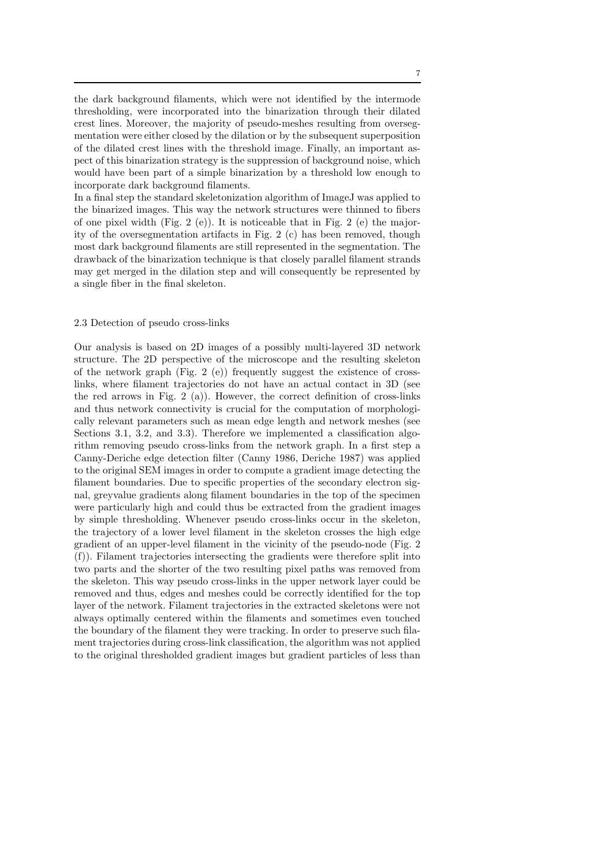the dark background filaments, which were not identified by the intermode thresholding, were incorporated into the binarization through their dilated crest lines. Moreover, the majority of pseudo-meshes resulting from oversegmentation were either closed by the dilation or by the subsequent superposition of the dilated crest lines with the threshold image. Finally, an important aspect of this binarization strategy is the suppression of background noise, which would have been part of a simple binarization by a threshold low enough to incorporate dark background filaments.

In a final step the standard skeletonization algorithm of ImageJ was applied to the binarized images. This way the network structures were thinned to fibers of one pixel width (Fig. 2 (e)). It is noticeable that in Fig. 2 (e) the majority of the oversegmentation artifacts in Fig. 2 (c) has been removed, though most dark background filaments are still represented in the segmentation. The drawback of the binarization technique is that closely parallel filament strands may get merged in the dilation step and will consequently be represented by a single fiber in the final skeleton.

#### 2.3 Detection of pseudo cross-links

Our analysis is based on 2D images of a possibly multi-layered 3D network structure. The 2D perspective of the microscope and the resulting skeleton of the network graph (Fig. 2 (e)) frequently suggest the existence of crosslinks, where filament trajectories do not have an actual contact in 3D (see the red arrows in Fig. 2 (a)). However, the correct definition of cross-links and thus network connectivity is crucial for the computation of morphologically relevant parameters such as mean edge length and network meshes (see Sections 3.1, 3.2, and 3.3). Therefore we implemented a classification algorithm removing pseudo cross-links from the network graph. In a first step a Canny-Deriche edge detection filter (Canny 1986, Deriche 1987) was applied to the original SEM images in order to compute a gradient image detecting the filament boundaries. Due to specific properties of the secondary electron signal, greyvalue gradients along filament boundaries in the top of the specimen were particularly high and could thus be extracted from the gradient images by simple thresholding. Whenever pseudo cross-links occur in the skeleton, the trajectory of a lower level filament in the skeleton crosses the high edge gradient of an upper-level filament in the vicinity of the pseudo-node (Fig. 2 (f)). Filament trajectories intersecting the gradients were therefore split into two parts and the shorter of the two resulting pixel paths was removed from the skeleton. This way pseudo cross-links in the upper network layer could be removed and thus, edges and meshes could be correctly identified for the top layer of the network. Filament trajectories in the extracted skeletons were not always optimally centered within the filaments and sometimes even touched the boundary of the filament they were tracking. In order to preserve such filament trajectories during cross-link classification, the algorithm was not applied to the original thresholded gradient images but gradient particles of less than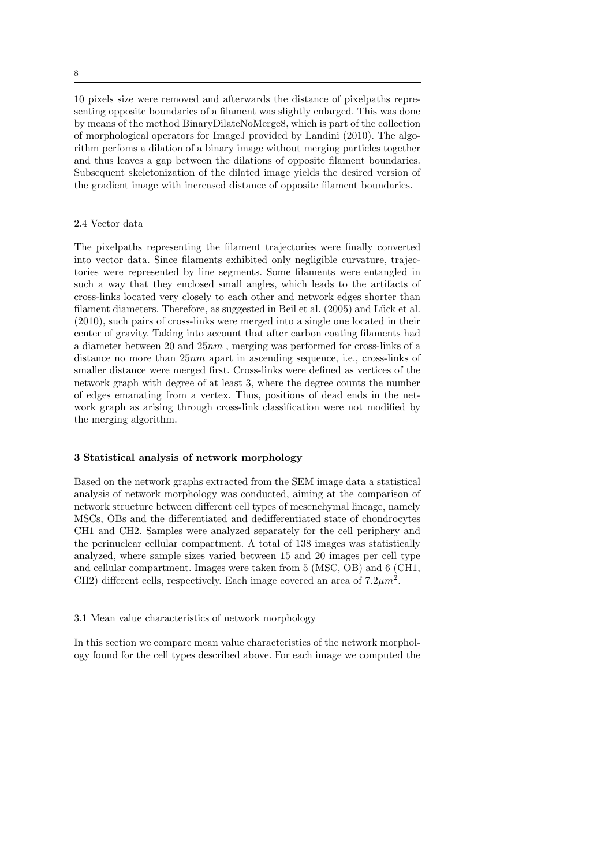10 pixels size were removed and afterwards the distance of pixelpaths representing opposite boundaries of a filament was slightly enlarged. This was done by means of the method BinaryDilateNoMerge8, which is part of the collection of morphological operators for ImageJ provided by Landini (2010). The algorithm perfoms a dilation of a binary image without merging particles together and thus leaves a gap between the dilations of opposite filament boundaries. Subsequent skeletonization of the dilated image yields the desired version of the gradient image with increased distance of opposite filament boundaries.

# 2.4 Vector data

The pixelpaths representing the filament trajectories were finally converted into vector data. Since filaments exhibited only negligible curvature, trajectories were represented by line segments. Some filaments were entangled in such a way that they enclosed small angles, which leads to the artifacts of cross-links located very closely to each other and network edges shorter than filament diameters. Therefore, as suggested in Beil et al. (2005) and Lück et al. (2010), such pairs of cross-links were merged into a single one located in their center of gravity. Taking into account that after carbon coating filaments had a diameter between 20 and 25nm , merging was performed for cross-links of a distance no more than 25nm apart in ascending sequence, i.e., cross-links of smaller distance were merged first. Cross-links were defined as vertices of the network graph with degree of at least 3, where the degree counts the number of edges emanating from a vertex. Thus, positions of dead ends in the network graph as arising through cross-link classification were not modified by the merging algorithm.

# 3 Statistical analysis of network morphology

Based on the network graphs extracted from the SEM image data a statistical analysis of network morphology was conducted, aiming at the comparison of network structure between different cell types of mesenchymal lineage, namely MSCs, OBs and the differentiated and dedifferentiated state of chondrocytes CH1 and CH2. Samples were analyzed separately for the cell periphery and the perinuclear cellular compartment. A total of 138 images was statistically analyzed, where sample sizes varied between 15 and 20 images per cell type and cellular compartment. Images were taken from 5 (MSC, OB) and 6 (CH1, CH2) different cells, respectively. Each image covered an area of  $7.2 \mu m^2$ .

# 3.1 Mean value characteristics of network morphology

In this section we compare mean value characteristics of the network morphology found for the cell types described above. For each image we computed the

8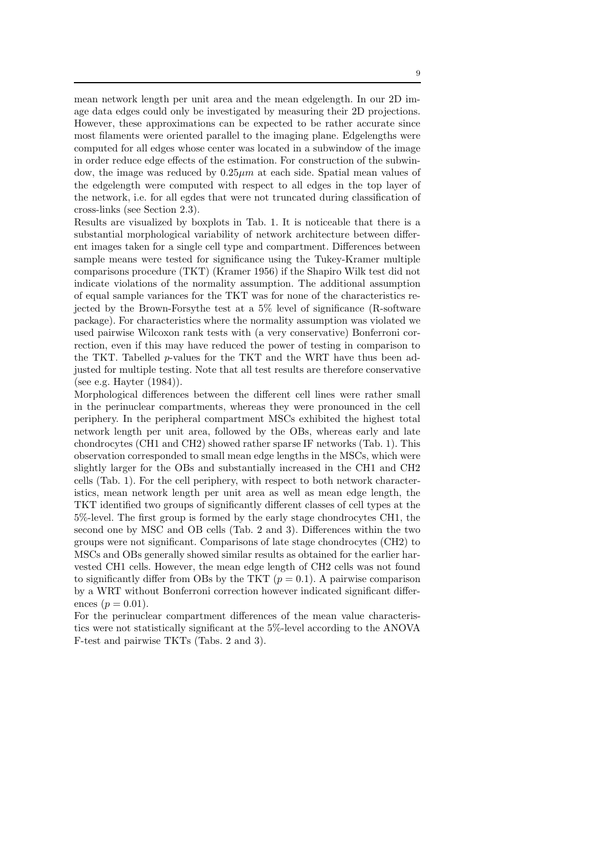mean network length per unit area and the mean edgelength. In our 2D image data edges could only be investigated by measuring their 2D projections. However, these approximations can be expected to be rather accurate since most filaments were oriented parallel to the imaging plane. Edgelengths were computed for all edges whose center was located in a subwindow of the image in order reduce edge effects of the estimation. For construction of the subwindow, the image was reduced by  $0.25 \mu m$  at each side. Spatial mean values of the edgelength were computed with respect to all edges in the top layer of the network, i.e. for all egdes that were not truncated during classification of cross-links (see Section 2.3).

Results are visualized by boxplots in Tab. 1. It is noticeable that there is a substantial morphological variability of network architecture between different images taken for a single cell type and compartment. Differences between sample means were tested for significance using the Tukey-Kramer multiple comparisons procedure (TKT) (Kramer 1956) if the Shapiro Wilk test did not indicate violations of the normality assumption. The additional assumption of equal sample variances for the TKT was for none of the characteristics rejected by the Brown-Forsythe test at a 5% level of significance (R-software package). For characteristics where the normality assumption was violated we used pairwise Wilcoxon rank tests with (a very conservative) Bonferroni correction, even if this may have reduced the power of testing in comparison to the TKT. Tabelled p-values for the TKT and the WRT have thus been adjusted for multiple testing. Note that all test results are therefore conservative (see e.g. Hayter (1984)).

Morphological differences between the different cell lines were rather small in the perinuclear compartments, whereas they were pronounced in the cell periphery. In the peripheral compartment MSCs exhibited the highest total network length per unit area, followed by the OBs, whereas early and late chondrocytes (CH1 and CH2) showed rather sparse IF networks (Tab. 1). This observation corresponded to small mean edge lengths in the MSCs, which were slightly larger for the OBs and substantially increased in the CH1 and CH2 cells (Tab. 1). For the cell periphery, with respect to both network characteristics, mean network length per unit area as well as mean edge length, the TKT identified two groups of significantly different classes of cell types at the 5%-level. The first group is formed by the early stage chondrocytes CH1, the second one by MSC and OB cells (Tab. 2 and 3). Differences within the two groups were not significant. Comparisons of late stage chondrocytes (CH2) to MSCs and OBs generally showed similar results as obtained for the earlier harvested CH1 cells. However, the mean edge length of CH2 cells was not found to significantly differ from OBs by the TKT  $(p = 0.1)$ . A pairwise comparison by a WRT without Bonferroni correction however indicated significant differences ( $p = 0.01$ ).

For the perinuclear compartment differences of the mean value characteristics were not statistically significant at the 5%-level according to the ANOVA F-test and pairwise TKTs (Tabs. 2 and 3).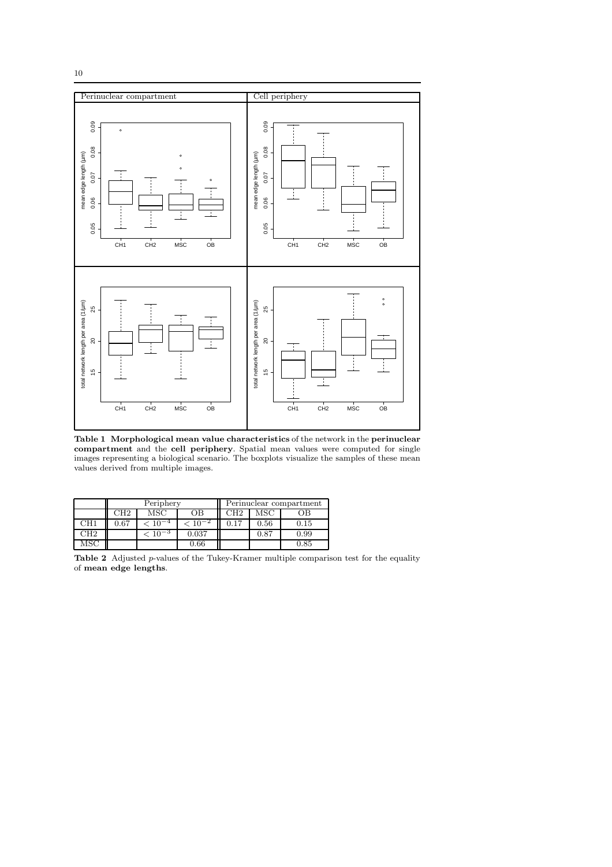



Table 1 Morphological mean value characteristics of the network in the perinuclear compartment and the cell periphery. Spatial mean values were computed for single images representing a biological scenario. The boxplots visualize the samples of these mean values derived from multiple images.

|           | Periphery |                          |       | Perinuclear compartment |      |      |
|-----------|-----------|--------------------------|-------|-------------------------|------|------|
|           | CH2       | MSC                      | OВ    | CH <sub>2</sub>         | MSC  | ЭB   |
| $\rm CH1$ | 0.67      | $~10^{-4}$               |       | 0.17                    | 0.56 | 0.15 |
| CH2       |           | $\cdot$ 10 <sup>-3</sup> | 0.037 |                         | 0.87 | 0.99 |
| ЛSC       |           |                          | 0.66  |                         |      | 0.85 |

Table 2 Adjusted p-values of the Tukey-Kramer multiple comparison test for the equality of mean edge lengths.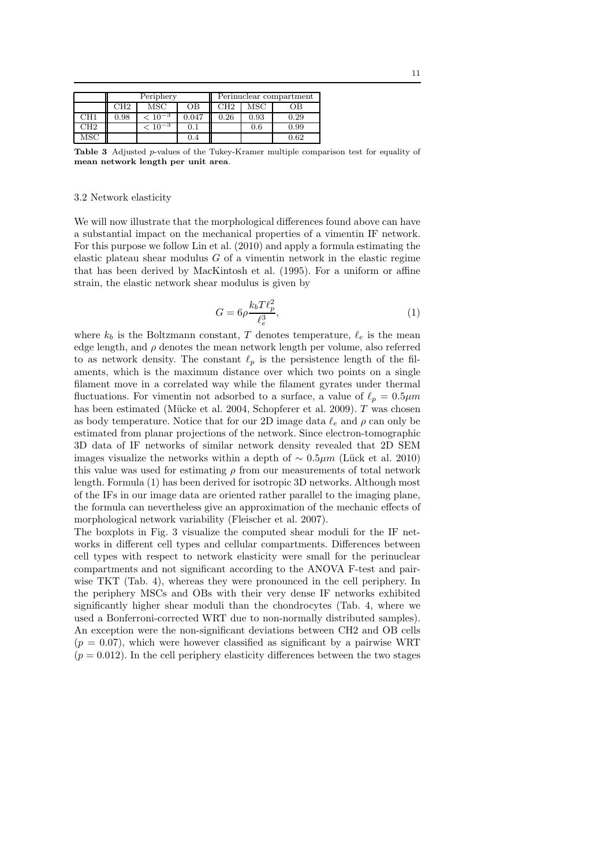|                 | Periphery |                 |         | Perinuclear compartment |      |      |
|-----------------|-----------|-----------------|---------|-------------------------|------|------|
|                 | CH2       | MSC             | OВ      | CH <sub>2</sub>         | MSC  | OВ   |
| CH <sub>1</sub> | 0.98      | $< 10^{-3}$     | 0.047   | 0.26                    | 0.93 | 0.29 |
| CH2             |           | $\rm < 10^{-3}$ | $(1)$ . |                         | 0.6  | 0.99 |
| MSC             |           |                 | 0.4     |                         |      | 0.62 |

Table 3 Adjusted p-values of the Tukey-Kramer multiple comparison test for equality of mean network length per unit area.

# 3.2 Network elasticity

We will now illustrate that the morphological differences found above can have a substantial impact on the mechanical properties of a vimentin IF network. For this purpose we follow Lin et al. (2010) and apply a formula estimating the elastic plateau shear modulus  $G$  of a vimentin network in the elastic regime that has been derived by MacKintosh et al. (1995). For a uniform or affine strain, the elastic network shear modulus is given by

$$
G = 6\rho \frac{k_b T \ell_p^2}{\ell_e^3},\tag{1}
$$

where  $k_b$  is the Boltzmann constant, T denotes temperature,  $\ell_e$  is the mean edge length, and  $\rho$  denotes the mean network length per volume, also referred to as network density. The constant  $\ell_p$  is the persistence length of the filaments, which is the maximum distance over which two points on a single filament move in a correlated way while the filament gyrates under thermal fluctuations. For vimentin not adsorbed to a surface, a value of  $\ell_p = 0.5 \mu m$ has been estimated (Mücke et al. 2004, Schopferer et al. 2009).  $T$  was chosen as body temperature. Notice that for our 2D image data  $\ell_e$  and  $\rho$  can only be estimated from planar projections of the network. Since electron-tomographic 3D data of IF networks of similar network density revealed that 2D SEM images visualize the networks within a depth of  $\sim 0.5 \mu m$  (Lück et al. 2010) this value was used for estimating  $\rho$  from our measurements of total network length. Formula (1) has been derived for isotropic 3D networks. Although most of the IFs in our image data are oriented rather parallel to the imaging plane, the formula can nevertheless give an approximation of the mechanic effects of morphological network variability (Fleischer et al. 2007).

The boxplots in Fig. 3 visualize the computed shear moduli for the IF networks in different cell types and cellular compartments. Differences between cell types with respect to network elasticity were small for the perinuclear compartments and not significant according to the ANOVA F-test and pairwise TKT (Tab. 4), whereas they were pronounced in the cell periphery. In the periphery MSCs and OBs with their very dense IF networks exhibited significantly higher shear moduli than the chondrocytes (Tab. 4, where we used a Bonferroni-corrected WRT due to non-normally distributed samples). An exception were the non-significant deviations between CH2 and OB cells  $(p = 0.07)$ , which were however classified as significant by a pairwise WRT  $(p = 0.012)$ . In the cell periphery elasticity differences between the two stages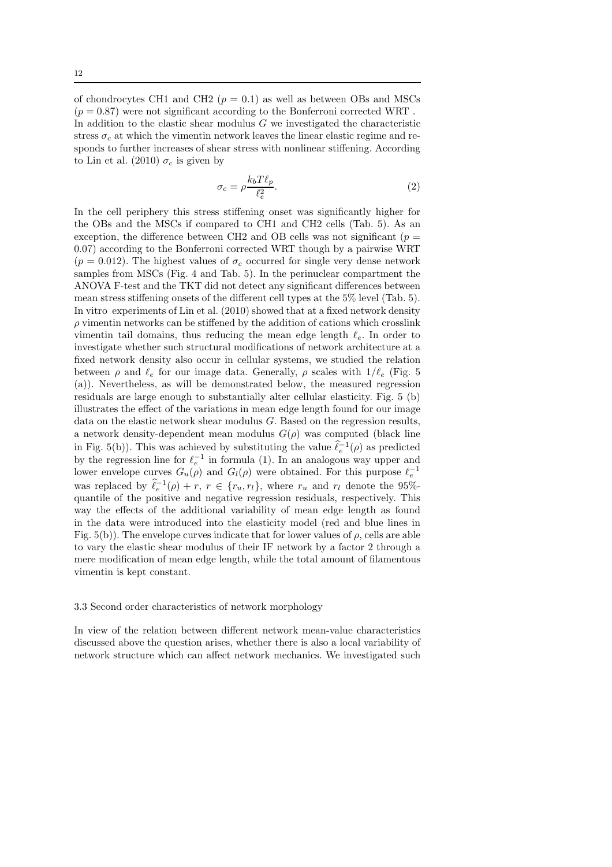of chondrocytes CH1 and CH2 ( $p = 0.1$ ) as well as between OBs and MSCs  $(p = 0.87)$  were not significant according to the Bonferroni corrected WRT. In addition to the elastic shear modulus  $G$  we investigated the characteristic stress  $\sigma_c$  at which the vimentin network leaves the linear elastic regime and responds to further increases of shear stress with nonlinear stiffening. According to Lin et al. (2010)  $\sigma_c$  is given by

$$
\sigma_c = \rho \frac{k_b T \ell_p}{\ell_e^2}.\tag{2}
$$

In the cell periphery this stress stiffening onset was significantly higher for the OBs and the MSCs if compared to CH1 and CH2 cells (Tab. 5). As an exception, the difference between CH2 and OB cells was not significant ( $p =$ 0.07) according to the Bonferroni corrected WRT though by a pairwise WRT  $(p = 0.012)$ . The highest values of  $\sigma_c$  occurred for single very dense network samples from MSCs (Fig. 4 and Tab. 5). In the perinuclear compartment the ANOVA F-test and the TKT did not detect any significant differences between mean stress stiffening onsets of the different cell types at the 5% level (Tab. 5). In vitro experiments of Lin et al. (2010) showed that at a fixed network density  $\rho$  vimentin networks can be stiffened by the addition of cations which crosslink vimentin tail domains, thus reducing the mean edge length  $\ell_e$ . In order to investigate whether such structural modifications of network architecture at a fixed network density also occur in cellular systems, we studied the relation between  $\rho$  and  $\ell_e$  for our image data. Generally,  $\rho$  scales with  $1/\ell_e$  (Fig. 5) (a)). Nevertheless, as will be demonstrated below, the measured regression residuals are large enough to substantially alter cellular elasticity. Fig. 5 (b) illustrates the effect of the variations in mean edge length found for our image data on the elastic network shear modulus G. Based on the regression results, a network density-dependent mean modulus  $G(\rho)$  was computed (black line in Fig. 5(b)). This was achieved by substituting the value  $\hat{\ell}_e^{-1}(\rho)$  as predicted by the regression line for  $\ell_e^{-1}$  in formula (1). In an analogous way upper and lower envelope curves  $G_u(\rho)$  and  $G_l(\rho)$  were obtained. For this purpose  $\ell_e^{-1}$ was replaced by  $\ell_e^{-1}(\rho) + r$ ,  $r \in \{r_u, r_l\}$ , where  $r_u$  and  $r_l$  denote the 95%quantile of the positive and negative regression residuals, respectively. This way the effects of the additional variability of mean edge length as found in the data were introduced into the elasticity model (red and blue lines in Fig.  $5(b)$ ). The envelope curves indicate that for lower values of  $\rho$ , cells are able to vary the elastic shear modulus of their IF network by a factor 2 through a mere modification of mean edge length, while the total amount of filamentous vimentin is kept constant.

#### 3.3 Second order characteristics of network morphology

In view of the relation between different network mean-value characteristics discussed above the question arises, whether there is also a local variability of network structure which can affect network mechanics. We investigated such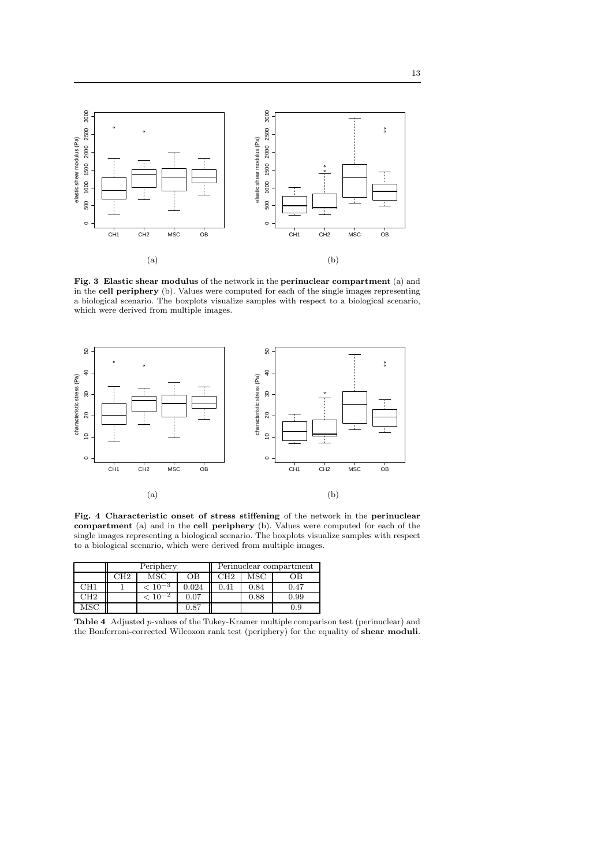

Fig. 3 Elastic shear modulus of the network in the perinuclear compartment (a) and in the cell periphery (b). Values were computed for each of the single images representing a biological scenario. The boxplots visualize samples with respect to a biological scenario, which were derived from multiple images.



Fig. 4 Characteristic onset of stress stiffening of the network in the perinuclear compartment (a) and in the cell periphery (b). Values were computed for each of the single images representing a biological scenario. The boxplots visualize samples with respect to a biological scenario, which were derived from multiple images.

|                 | Periphery |             |             | Perinuclear compartment |      |      |
|-----------------|-----------|-------------|-------------|-------------------------|------|------|
|                 | CH2       | MSC         | OВ          | CH2                     | MSC  | ЭB   |
| CH1             |           | $< 10^{-3}$ | $\,0.024\,$ | 0.41                    | 0.84 | 0.47 |
| CH <sub>2</sub> |           |             | $0.07\,$    |                         | 0.88 | 0.99 |
|                 |           |             | 0.87        |                         |      | 0.9  |

Table 4 Adjusted p-values of the Tukey-Kramer multiple comparison test (perinuclear) and the Bonferroni-corrected Wilcoxon rank test (periphery) for the equality of shear moduli.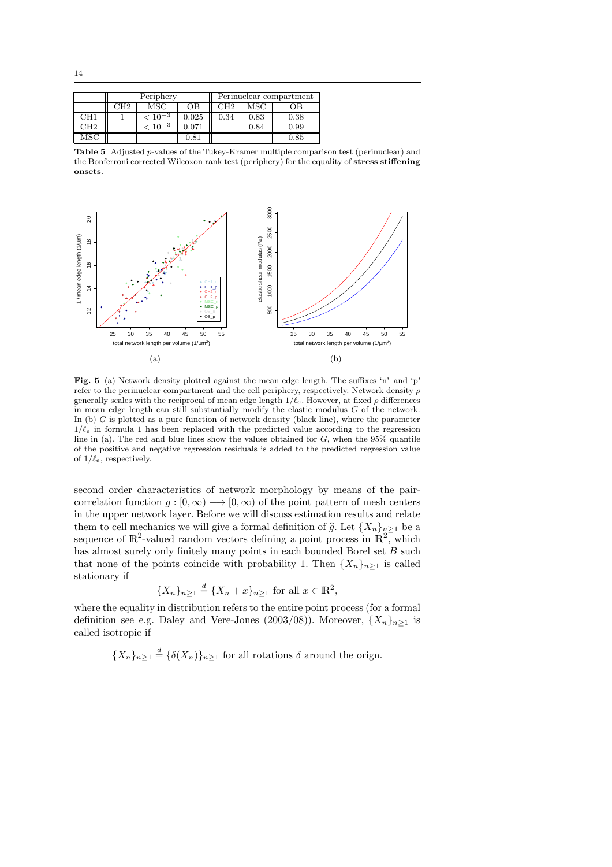|     | Periphery |                |       | Perinuclear compartment |      |      |
|-----|-----------|----------------|-------|-------------------------|------|------|
|     | CH2       | MSC            | OВ    | CH2                     | MSC  | ЭB   |
| CH1 |           | $< 10^{-3}$    | 0.025 | 0.34                    | 0.83 | 0.38 |
| CH2 |           | $\leq 10^{-3}$ | 0.071 |                         | 0.84 | 0.99 |
| MSC |           |                | 0.81  |                         |      | 0.85 |

Table 5 Adjusted p-values of the Tukey-Kramer multiple comparison test (perinuclear) and the Bonferroni corrected Wilcoxon rank test (periphery) for the equality of stress stiffening onsets.



Fig. 5 (a) Network density plotted against the mean edge length. The suffixes 'n' and 'p' refer to the perinuclear compartment and the cell periphery, respectively. Network density  $\rho$ generally scales with the reciprocal of mean edge length  $1/\ell_e$ . However, at fixed  $\rho$  differences in mean edge length can still substantially modify the elastic modulus G of the network. In (b)  $G$  is plotted as a pure function of network density (black line), where the parameter  $1/\ell_e$  in formula 1 has been replaced with the predicted value according to the regression line in (a). The red and blue lines show the values obtained for  $G$ , when the 95% quantile of the positive and negative regression residuals is added to the predicted regression value of  $1/\ell_e$ , respectively.

second order characteristics of network morphology by means of the paircorrelation function  $q : [0, \infty) \longrightarrow [0, \infty)$  of the point pattern of mesh centers in the upper network layer. Before we will discuss estimation results and relate them to cell mechanics we will give a formal definition of  $\hat{g}$ . Let  ${X_n}_{n\geq 1}$  be a sequence of  $\mathbb{R}^2$ -valued random vectors defining a point process in  $\mathbb{R}^2$ , which has almost surely only finitely many points in each bounded Borel set B such that none of the points coincide with probability 1. Then  ${X_n}_{n>1}$  is called stationary if

$$
\{X_n\}_{n\geq 1} \stackrel{d}{=} \{X_n + x\}_{n\geq 1} \text{ for all } x \in \mathbb{R}^2,
$$

where the equality in distribution refers to the entire point process (for a formal definition see e.g. Daley and Vere-Jones (2003/08)). Moreover,  $\{X_n\}_{n>1}$  is called isotropic if

 ${X_n}_{n\geq 1} \stackrel{d}{=} {\{\delta(X_n)\}}_{n\geq 1}$  for all rotations  $\delta$  around the orign.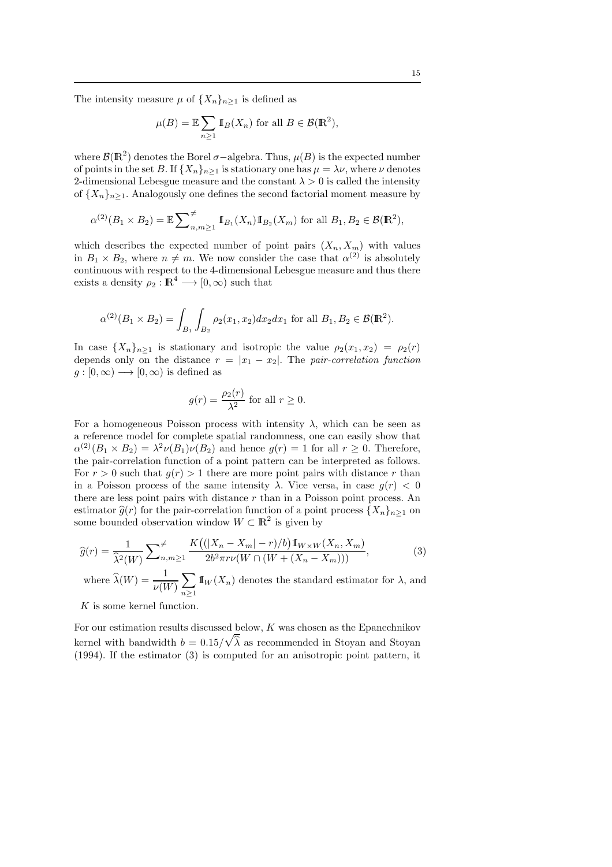The intensity measure  $\mu$  of  $\{X_n\}_{n>1}$  is defined as

$$
\mu(B) = \mathbb{E} \sum_{n \ge 1} \mathbb{I}_B(X_n)
$$
 for all  $B \in \mathcal{B}(\mathbb{R}^2)$ ,

where  $\mathcal{B}(R^2)$  denotes the Borel  $\sigma$ -algebra. Thus,  $\mu(B)$  is the expected number of points in the set B. If  ${X_n}_{n\geq 1}$  is stationary one has  $\mu = \lambda \nu$ , where  $\nu$  denotes 2-dimensional Lebesgue measure and the constant  $\lambda > 0$  is called the intensity of  ${X_n}_{n>1}$ . Analogously one defines the second factorial moment measure by

$$
\alpha^{(2)}(B_1 \times B_2) = \mathbb{E} \sum_{n,m \ge 1}^{\neq} \mathbb{I}_{B_1}(X_n) \mathbb{I}_{B_2}(X_m)
$$
 for all  $B_1, B_2 \in \mathcal{B}(\mathbb{R}^2)$ ,

which describes the expected number of point pairs  $(X_n, X_m)$  with values in  $B_1 \times B_2$ , where  $n \neq m$ . We now consider the case that  $\alpha^{(2)}$  is absolutely continuous with respect to the 4-dimensional Lebesgue measure and thus there exists a density  $\rho_2 : \mathbb{R}^4 \longrightarrow [0, \infty)$  such that

$$
\alpha^{(2)}(B_1 \times B_2) = \int_{B_1} \int_{B_2} \rho_2(x_1, x_2) dx_2 dx_1 \text{ for all } B_1, B_2 \in \mathcal{B}(\mathbb{R}^2).
$$

In case  $\{X_n\}_{n\geq 1}$  is stationary and isotropic the value  $\rho_2(x_1, x_2) = \rho_2(r)$ depends only on the distance  $r = |x_1 - x_2|$ . The pair-correlation function  $g:[0,\infty)\longrightarrow [0,\infty)$  is defined as

$$
g(r) = \frac{\rho_2(r)}{\lambda^2} \text{ for all } r \ge 0.
$$

For a homogeneous Poisson process with intensity  $\lambda$ , which can be seen as a reference model for complete spatial randomness, one can easily show that  $\alpha^{(2)}(B_1 \times B_2) = \lambda^2 \nu(B_1)\nu(B_2)$  and hence  $g(r) = 1$  for all  $r \ge 0$ . Therefore, the pair-correlation function of a point pattern can be interpreted as follows. For  $r > 0$  such that  $q(r) > 1$  there are more point pairs with distance r than in a Poisson process of the same intensity  $\lambda$ . Vice versa, in case  $q(r) < 0$ there are less point pairs with distance  $r$  than in a Poisson point process. An estimator  $\hat{g}(r)$  for the pair-correlation function of a point process  ${X_n}_{n\geq 1}$  on some bounded observation window  $W \subset \mathbb{R}^2$  is given by

$$
\widehat{g}(r) = \frac{1}{\widehat{\lambda}^2(W)} \sum_{n,m \ge 1}^{\neq} \frac{K\left((|X_n - X_m| - r)/b\right) \mathbb{1}_{W \times W}(X_n, X_m)}{2b^2 \pi r \nu(W \cap (W + (X_n - X_m)))},\tag{3}
$$
\nwhere  $\widehat{\lambda}(W) = \frac{1}{\nu(W)} \sum_{n \ge 1} \mathbb{1}_W(X_n)$  denotes the standard estimator for  $\lambda$ , and

 $K$  is some kernel function.

For our estimation results discussed below, K was chosen as the Epanechnikov kernel with bandwidth  $b = 0.15/\sqrt{\hat{\lambda}}$  as recommended in Stoyan and Stoyan (1994). If the estimator (3) is computed for an anisotropic point pattern, it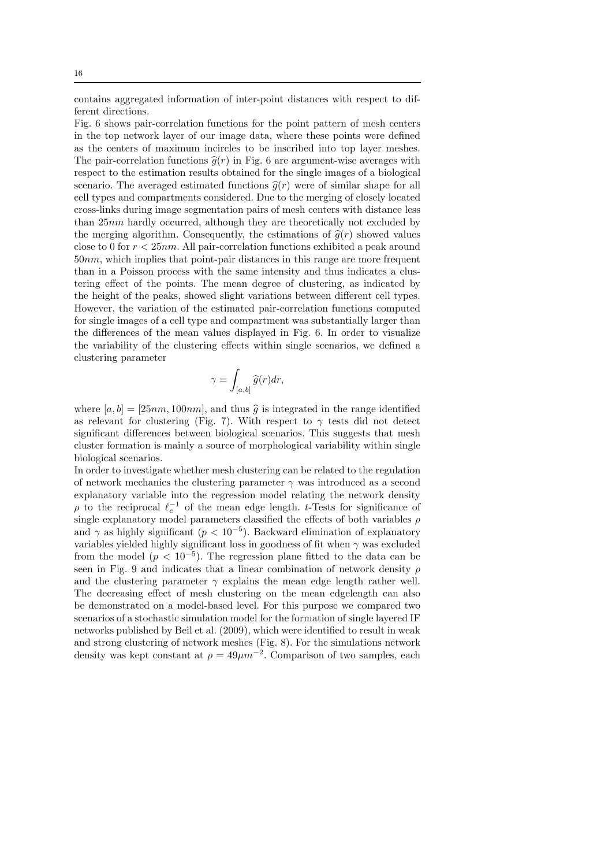contains aggregated information of inter-point distances with respect to different directions.

Fig. 6 shows pair-correlation functions for the point pattern of mesh centers in the top network layer of our image data, where these points were defined as the centers of maximum incircles to be inscribed into top layer meshes. The pair-correlation functions  $\hat{g}(r)$  in Fig. 6 are argument-wise averages with respect to the estimation results obtained for the single images of a biological scenario. The averaged estimated functions  $\hat{g}(r)$  were of similar shape for all cell types and compartments considered. Due to the merging of closely located cross-links during image segmentation pairs of mesh centers with distance less than 25nm hardly occurred, although they are theoretically not excluded by the merging algorithm. Consequently, the estimations of  $\hat{q}(r)$  showed values close to 0 for  $r < 25nm$ . All pair-correlation functions exhibited a peak around 50nm, which implies that point-pair distances in this range are more frequent than in a Poisson process with the same intensity and thus indicates a clustering effect of the points. The mean degree of clustering, as indicated by the height of the peaks, showed slight variations between different cell types. However, the variation of the estimated pair-correlation functions computed for single images of a cell type and compartment was substantially larger than the differences of the mean values displayed in Fig. 6. In order to visualize the variability of the clustering effects within single scenarios, we defined a clustering parameter

$$
\gamma=\int_{[a,b]}\widehat{g}(r)dr,
$$

where  $[a, b] = [25nm, 100nm]$ , and thus  $\hat{q}$  is integrated in the range identified as relevant for clustering (Fig. 7). With respect to  $\gamma$  tests did not detect significant differences between biological scenarios. This suggests that mesh cluster formation is mainly a source of morphological variability within single biological scenarios.

In order to investigate whether mesh clustering can be related to the regulation of network mechanics the clustering parameter  $\gamma$  was introduced as a second explanatory variable into the regression model relating the network density  $\rho$  to the reciprocal  $\ell_e^{-1}$  of the mean edge length. t-Tests for significance of single explanatory model parameters classified the effects of both variables  $\rho$ and  $\gamma$  as highly significant ( $p < 10^{-5}$ ). Backward elimination of explanatory variables yielded highly significant loss in goodness of fit when  $\gamma$  was excluded from the model  $(p < 10^{-5})$ . The regression plane fitted to the data can be seen in Fig. 9 and indicates that a linear combination of network density  $\rho$ and the clustering parameter  $\gamma$  explains the mean edge length rather well. The decreasing effect of mesh clustering on the mean edgelength can also be demonstrated on a model-based level. For this purpose we compared two scenarios of a stochastic simulation model for the formation of single layered IF networks published by Beil et al. (2009), which were identified to result in weak and strong clustering of network meshes (Fig. 8). For the simulations network density was kept constant at  $\rho = 49 \mu m^{-2}$ . Comparison of two samples, each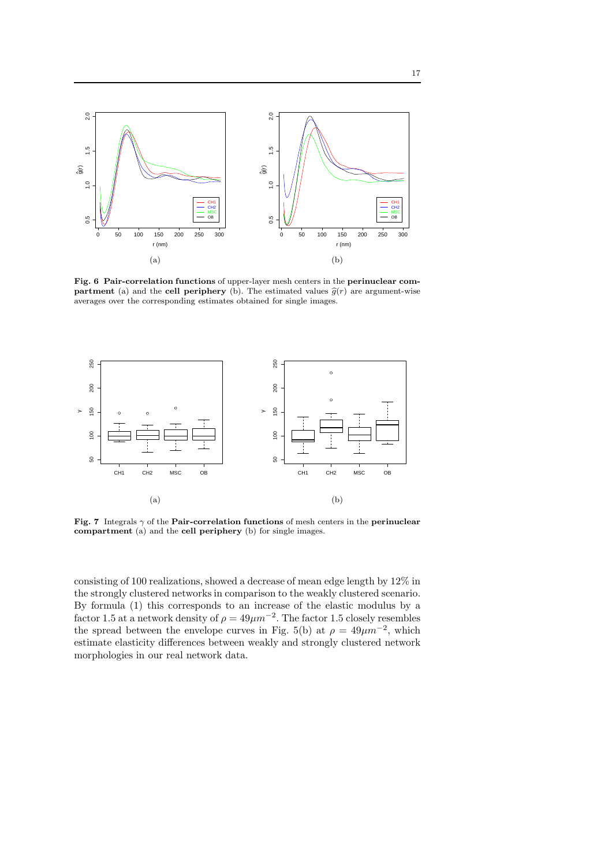

Fig. 6 Pair-correlation functions of upper-layer mesh centers in the perinuclear compartment (a) and the cell periphery (b). The estimated values  $\hat{g}(r)$  are argument-wise averages over the corresponding estimates obtained for single images.



Fig. 7 Integrals  $\gamma$  of the Pair-correlation functions of mesh centers in the perinuclear compartment (a) and the cell periphery (b) for single images.

consisting of 100 realizations, showed a decrease of mean edge length by 12% in the strongly clustered networks in comparison to the weakly clustered scenario. By formula (1) this corresponds to an increase of the elastic modulus by a factor 1.5 at a network density of  $\rho = 49 \mu m^{-2}$ . The factor 1.5 closely resembles the spread between the envelope curves in Fig. 5(b) at  $\rho = 49 \mu m^{-2}$ , which estimate elasticity differences between weakly and strongly clustered network morphologies in our real network data.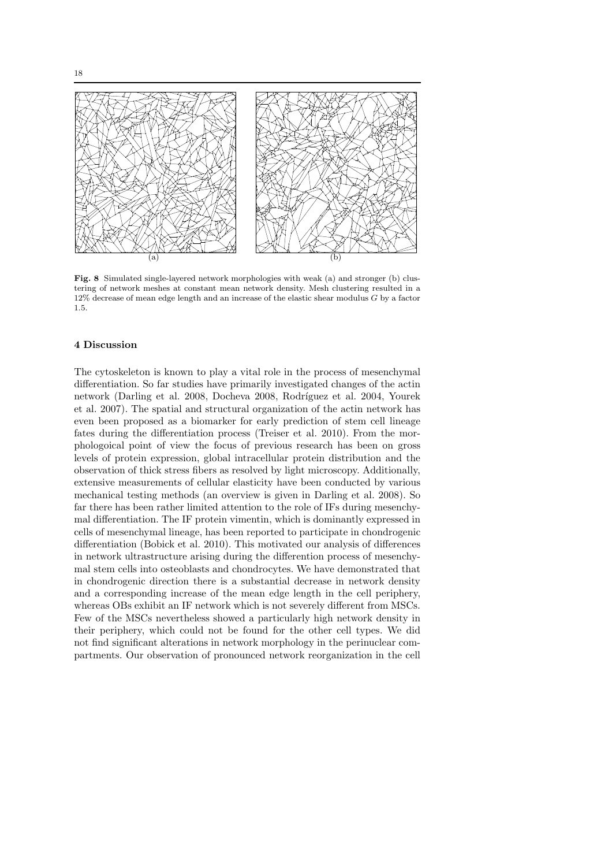

Fig. 8 Simulated single-layered network morphologies with weak (a) and stronger (b) clustering of network meshes at constant mean network density. Mesh clustering resulted in a 12% decrease of mean edge length and an increase of the elastic shear modulus G by a factor 1.5.

#### 4 Discussion

The cytoskeleton is known to play a vital role in the process of mesenchymal differentiation. So far studies have primarily investigated changes of the actin network (Darling et al. 2008, Docheva 2008, Rodríguez et al. 2004, Yourek et al. 2007). The spatial and structural organization of the actin network has even been proposed as a biomarker for early prediction of stem cell lineage fates during the differentiation process (Treiser et al. 2010). From the morphologoical point of view the focus of previous research has been on gross levels of protein expression, global intracellular protein distribution and the observation of thick stress fibers as resolved by light microscopy. Additionally, extensive measurements of cellular elasticity have been conducted by various mechanical testing methods (an overview is given in Darling et al. 2008). So far there has been rather limited attention to the role of IFs during mesenchymal differentiation. The IF protein vimentin, which is dominantly expressed in cells of mesenchymal lineage, has been reported to participate in chondrogenic differentiation (Bobick et al. 2010). This motivated our analysis of differences in network ultrastructure arising during the differention process of mesenchymal stem cells into osteoblasts and chondrocytes. We have demonstrated that in chondrogenic direction there is a substantial decrease in network density and a corresponding increase of the mean edge length in the cell periphery, whereas OBs exhibit an IF network which is not severely different from MSCs. Few of the MSCs nevertheless showed a particularly high network density in their periphery, which could not be found for the other cell types. We did not find significant alterations in network morphology in the perinuclear compartments. Our observation of pronounced network reorganization in the cell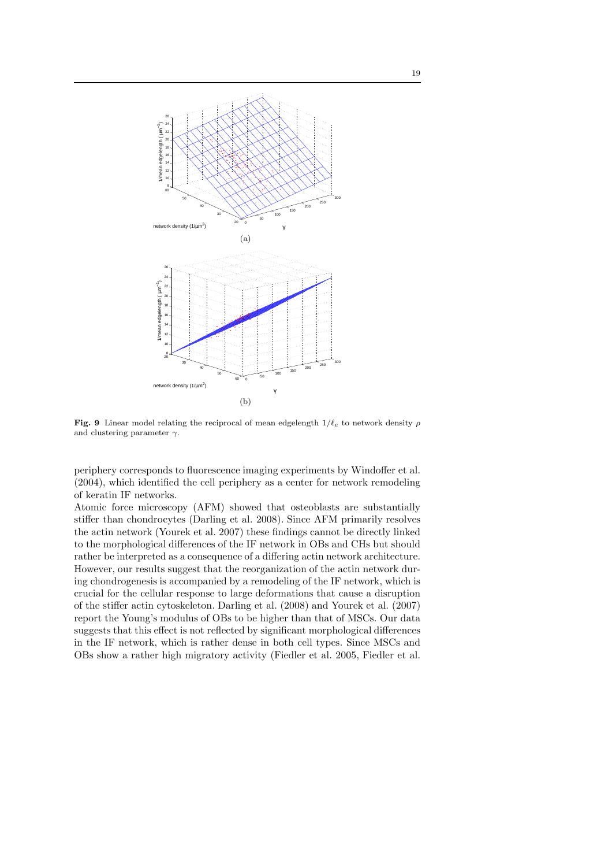

Fig. 9 Linear model relating the reciprocal of mean edgelength  $1/\ell_e$  to network density  $\rho$ and clustering parameter  $\gamma$ .

periphery corresponds to fluorescence imaging experiments by Windoffer et al. (2004), which identified the cell periphery as a center for network remodeling of keratin IF networks.

Atomic force microscopy (AFM) showed that osteoblasts are substantially stiffer than chondrocytes (Darling et al. 2008). Since AFM primarily resolves the actin network (Yourek et al. 2007) these findings cannot be directly linked to the morphological differences of the IF network in OBs and CHs but should rather be interpreted as a consequence of a differing actin network architecture. However, our results suggest that the reorganization of the actin network during chondrogenesis is accompanied by a remodeling of the IF network, which is crucial for the cellular response to large deformations that cause a disruption of the stiffer actin cytoskeleton. Darling et al. (2008) and Yourek et al. (2007) report the Young's modulus of OBs to be higher than that of MSCs. Our data suggests that this effect is not reflected by significant morphological differences in the IF network, which is rather dense in both cell types. Since MSCs and OBs show a rather high migratory activity (Fiedler et al. 2005, Fiedler et al.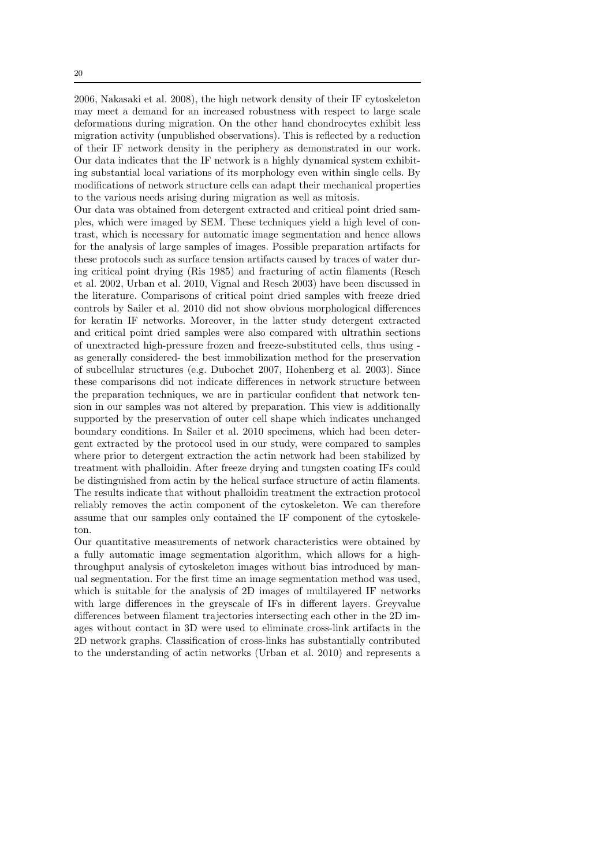2006, Nakasaki et al. 2008), the high network density of their IF cytoskeleton may meet a demand for an increased robustness with respect to large scale deformations during migration. On the other hand chondrocytes exhibit less migration activity (unpublished observations). This is reflected by a reduction of their IF network density in the periphery as demonstrated in our work. Our data indicates that the IF network is a highly dynamical system exhibiting substantial local variations of its morphology even within single cells. By modifications of network structure cells can adapt their mechanical properties to the various needs arising during migration as well as mitosis.

Our data was obtained from detergent extracted and critical point dried samples, which were imaged by SEM. These techniques yield a high level of contrast, which is necessary for automatic image segmentation and hence allows for the analysis of large samples of images. Possible preparation artifacts for these protocols such as surface tension artifacts caused by traces of water during critical point drying (Ris 1985) and fracturing of actin filaments (Resch et al. 2002, Urban et al. 2010, Vignal and Resch 2003) have been discussed in the literature. Comparisons of critical point dried samples with freeze dried controls by Sailer et al. 2010 did not show obvious morphological differences for keratin IF networks. Moreover, in the latter study detergent extracted and critical point dried samples were also compared with ultrathin sections of unextracted high-pressure frozen and freeze-substituted cells, thus using as generally considered- the best immobilization method for the preservation of subcellular structures (e.g. Dubochet 2007, Hohenberg et al. 2003). Since these comparisons did not indicate differences in network structure between the preparation techniques, we are in particular confident that network tension in our samples was not altered by preparation. This view is additionally supported by the preservation of outer cell shape which indicates unchanged boundary conditions. In Sailer et al. 2010 specimens, which had been detergent extracted by the protocol used in our study, were compared to samples where prior to detergent extraction the actin network had been stabilized by treatment with phalloidin. After freeze drying and tungsten coating IFs could be distinguished from actin by the helical surface structure of actin filaments. The results indicate that without phalloidin treatment the extraction protocol reliably removes the actin component of the cytoskeleton. We can therefore assume that our samples only contained the IF component of the cytoskeleton.

Our quantitative measurements of network characteristics were obtained by a fully automatic image segmentation algorithm, which allows for a highthroughput analysis of cytoskeleton images without bias introduced by manual segmentation. For the first time an image segmentation method was used, which is suitable for the analysis of 2D images of multilayered IF networks with large differences in the greyscale of IFs in different layers. Greyvalue differences between filament trajectories intersecting each other in the 2D images without contact in 3D were used to eliminate cross-link artifacts in the 2D network graphs. Classification of cross-links has substantially contributed to the understanding of actin networks (Urban et al. 2010) and represents a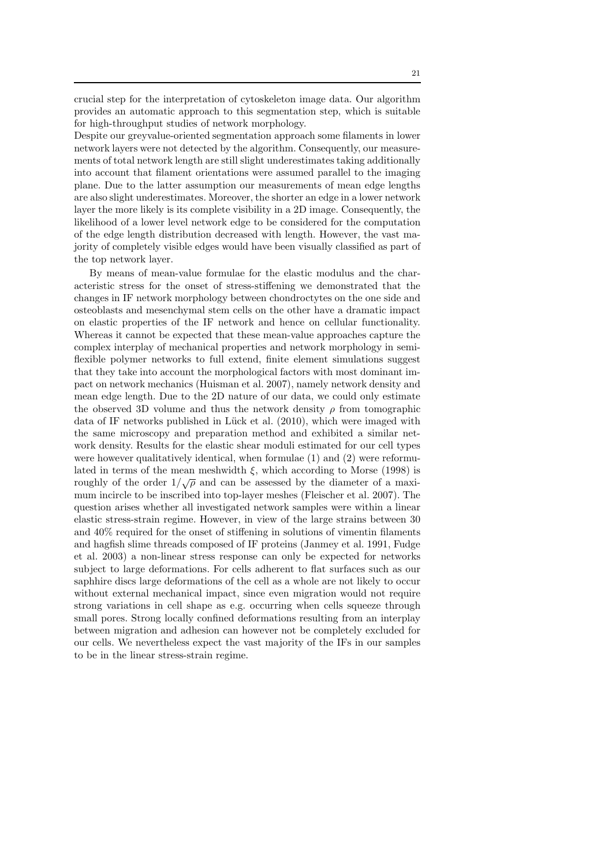crucial step for the interpretation of cytoskeleton image data. Our algorithm provides an automatic approach to this segmentation step, which is suitable for high-throughput studies of network morphology.

Despite our greyvalue-oriented segmentation approach some filaments in lower network layers were not detected by the algorithm. Consequently, our measurements of total network length are still slight underestimates taking additionally into account that filament orientations were assumed parallel to the imaging plane. Due to the latter assumption our measurements of mean edge lengths are also slight underestimates. Moreover, the shorter an edge in a lower network layer the more likely is its complete visibility in a 2D image. Consequently, the likelihood of a lower level network edge to be considered for the computation of the edge length distribution decreased with length. However, the vast majority of completely visible edges would have been visually classified as part of the top network layer.

By means of mean-value formulae for the elastic modulus and the characteristic stress for the onset of stress-stiffening we demonstrated that the changes in IF network morphology between chondroctytes on the one side and osteoblasts and mesenchymal stem cells on the other have a dramatic impact on elastic properties of the IF network and hence on cellular functionality. Whereas it cannot be expected that these mean-value approaches capture the complex interplay of mechanical properties and network morphology in semiflexible polymer networks to full extend, finite element simulations suggest that they take into account the morphological factors with most dominant impact on network mechanics (Huisman et al. 2007), namely network density and mean edge length. Due to the 2D nature of our data, we could only estimate the observed 3D volume and thus the network density  $\rho$  from tomographic data of IF networks published in Lück et al. (2010), which were imaged with the same microscopy and preparation method and exhibited a similar network density. Results for the elastic shear moduli estimated for our cell types were however qualitatively identical, when formulae (1) and (2) were reformulated in terms of the mean meshwidth  $\xi$ , which according to Morse (1998) is roughly of the order  $1/\sqrt{\rho}$  and can be assessed by the diameter of a maximum incircle to be inscribed into top-layer meshes (Fleischer et al. 2007). The question arises whether all investigated network samples were within a linear elastic stress-strain regime. However, in view of the large strains between 30 and 40% required for the onset of stiffening in solutions of vimentin filaments and hagfish slime threads composed of IF proteins (Janmey et al. 1991, Fudge et al. 2003) a non-linear stress response can only be expected for networks subject to large deformations. For cells adherent to flat surfaces such as our saphhire discs large deformations of the cell as a whole are not likely to occur without external mechanical impact, since even migration would not require strong variations in cell shape as e.g. occurring when cells squeeze through small pores. Strong locally confined deformations resulting from an interplay between migration and adhesion can however not be completely excluded for our cells. We nevertheless expect the vast majority of the IFs in our samples to be in the linear stress-strain regime.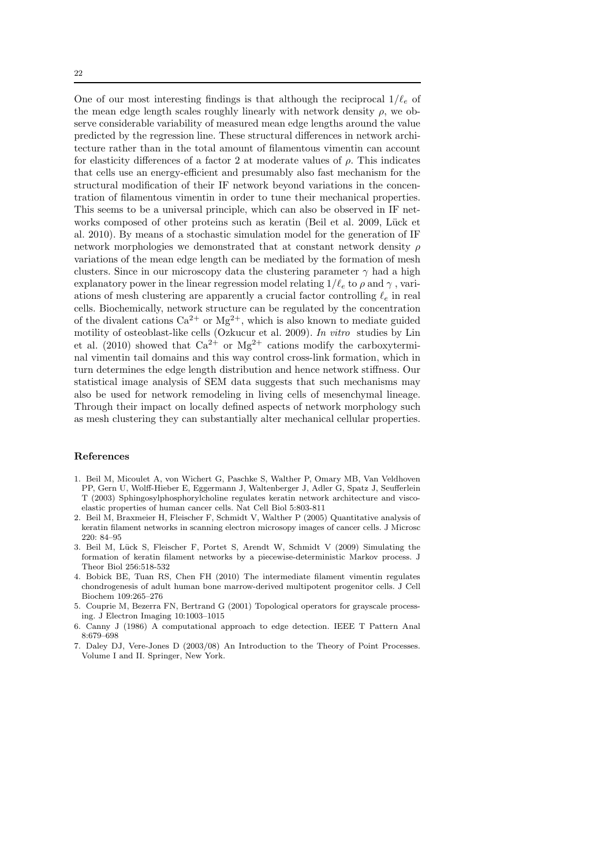One of our most interesting findings is that although the reciprocal  $1/\ell_e$  of the mean edge length scales roughly linearly with network density  $\rho$ , we observe considerable variability of measured mean edge lengths around the value predicted by the regression line. These structural differences in network architecture rather than in the total amount of filamentous vimentin can account for elasticity differences of a factor 2 at moderate values of  $\rho$ . This indicates that cells use an energy-efficient and presumably also fast mechanism for the structural modification of their IF network beyond variations in the concentration of filamentous vimentin in order to tune their mechanical properties. This seems to be a universal principle, which can also be observed in IF networks composed of other proteins such as keratin (Beil et al. 2009, Lück et al. 2010). By means of a stochastic simulation model for the generation of IF network morphologies we demonstrated that at constant network density  $\rho$ variations of the mean edge length can be mediated by the formation of mesh clusters. Since in our microscopy data the clustering parameter  $\gamma$  had a high explanatory power in the linear regression model relating  $1/\ell_e$  to  $\rho$  and  $\gamma$ , variations of mesh clustering are apparently a crucial factor controlling  $\ell_e$  in real cells. Biochemically, network structure can be regulated by the concentration of the divalent cations  $Ca^{2+}$  or  $Mg^{2+}$ , which is also known to mediate guided motility of osteoblast-like cells (Ozkucur et al. 2009). In vitro studies by Lin et al. (2010) showed that  $Ca^{2+}$  or Mg<sup>2+</sup> cations modify the carboxyterminal vimentin tail domains and this way control cross-link formation, which in turn determines the edge length distribution and hence network stiffness. Our statistical image analysis of SEM data suggests that such mechanisms may also be used for network remodeling in living cells of mesenchymal lineage. Through their impact on locally defined aspects of network morphology such as mesh clustering they can substantially alter mechanical cellular properties.

# References

- 1. Beil M, Micoulet A, von Wichert G, Paschke S, Walther P, Omary MB, Van Veldhoven PP, Gern U, Wolff-Hieber E, Eggermann J, Waltenberger J, Adler G, Spatz J, Seufferlein T (2003) Sphingosylphosphorylcholine regulates keratin network architecture and viscoelastic properties of human cancer cells. Nat Cell Biol 5:803-811
- 2. Beil M, Braxmeier H, Fleischer F, Schmidt V, Walther P (2005) Quantitative analysis of keratin filament networks in scanning electron microsopy images of cancer cells. J Microsc 220: 84–95
- 3. Beil M, Lück S, Fleischer F, Portet S, Arendt W, Schmidt V (2009) Simulating the formation of keratin filament networks by a piecewise-deterministic Markov process. J Theor Biol 256:518-532
- 4. Bobick BE, Tuan RS, Chen FH (2010) The intermediate filament vimentin regulates chondrogenesis of adult human bone marrow-derived multipotent progenitor cells. J Cell Biochem 109:265–276
- 5. Couprie M, Bezerra FN, Bertrand G (2001) Topological operators for grayscale processing. J Electron Imaging 10:1003–1015
- 6. Canny J (1986) A computational approach to edge detection. IEEE T Pattern Anal 8:679–698
- 7. Daley DJ, Vere-Jones D (2003/08) An Introduction to the Theory of Point Processes. Volume I and II. Springer, New York.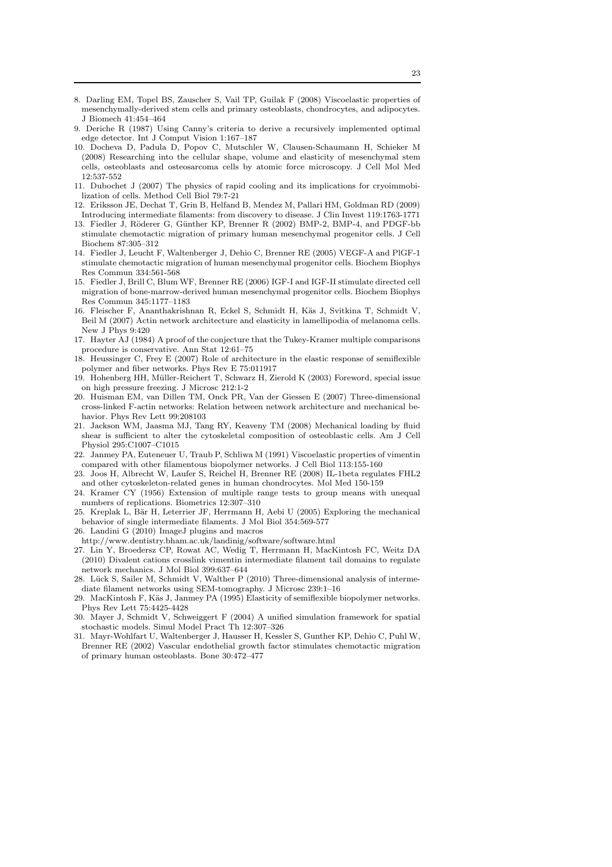- 8. Darling EM, Topel BS, Zauscher S, Vail TP, Guilak F (2008) Viscoelastic properties of mesenchymally-derived stem cells and primary osteoblasts, chondrocytes, and adipocytes. J Biomech 41:454–464
- 9. Deriche R (1987) Using Canny's criteria to derive a recursively implemented optimal edge detector. Int J Comput Vision 1:167–187
- 10. Docheva D, Padula D, Popov C, Mutschler W, Clausen-Schaumann H, Schieker M (2008) Researching into the cellular shape, volume and elasticity of mesenchymal stem cells, osteoblasts and osteosarcoma cells by atomic force microscopy. J Cell Mol Med 12:537-552
- 11. Dubochet J (2007) The physics of rapid cooling and its implications for cryoimmobilization of cells. Method Cell Biol 79:7-21
- 12. Eriksson JE, Dechat T, Grin B, Helfand B, Mendez M, Pallari HM, Goldman RD (2009) Introducing intermediate filaments: from discovery to disease. J Clin Invest 119:1763-1771
- 13. Fiedler J, Röderer G, Günther KP, Brenner R (2002) BMP-2, BMP-4, and PDGF-bb stimulate chemotactic migration of primary human mesenchymal progenitor cells. J Cell Biochem 87:305–312
- 14. Fiedler J, Leucht F, Waltenberger J, Dehio C, Brenner RE (2005) VEGF-A and PlGF-1 stimulate chemotactic migration of human mesenchymal progenitor cells. Biochem Biophys Res Commun 334:561-568
- 15. Fiedler J, Brill C, Blum WF, Brenner RE (2006) IGF-I and IGF-II stimulate directed cell migration of bone-marrow-derived human mesenchymal progenitor cells. Biochem Biophys Res Commun 345:1177–1183
- 16. Fleischer F, Ananthakrishnan R, Eckel S, Schmidt H, K¨as J, Svitkina T, Schmidt V, Beil M (2007) Actin network architecture and elasticity in lamellipodia of melanoma cells. New J Phys 9:420
- 17. Hayter AJ (1984) A proof of the conjecture that the Tukey-Kramer multiple comparisons procedure is conservative. Ann Stat 12:61–75
- 18. Heussinger C, Frey E (2007) Role of architecture in the elastic response of semiflexible polymer and fiber networks. Phys Rev E 75:011917
- 19. Hohenberg HH, M¨uller-Reichert T, Schwarz H, Zierold K (2003) Foreword, special issue on high pressure freezing. J Microsc 212:1-2
- 20. Huisman EM, van Dillen TM, Onck PR, Van der Giessen E (2007) Three-dimensional cross-linked F-actin networks: Relation between network architecture and mechanical behavior. Phys Rev Lett 99:208103
- 21. Jackson WM, Jaasma MJ, Tang RY, Keaveny TM (2008) Mechanical loading by fluid shear is sufficient to alter the cytoskeletal composition of osteoblastic cells. Am J Cell Physiol 295:C1007–C1015
- 22. Janmey PA, Euteneuer U, Traub P, Schliwa M (1991) Viscoelastic properties of vimentin compared with other filamentous biopolymer networks. J Cell Biol 113:155-160
- 23. Joos H, Albrecht W, Laufer S, Reichel H, Brenner RE (2008) IL-1beta regulates FHL2 and other cytoskeleton-related genes in human chondrocytes. Mol Med 150-159
- 24. Kramer CY (1956) Extension of multiple range tests to group means with unequal numbers of replications. Biometrics 12:307–310
- 25. Kreplak L, Bär H, Leterrier JF, Herrmann H, Aebi U (2005) Exploring the mechanical behavior of single intermediate filaments. J Mol Biol 354:569-577
- 26. Landini G (2010) ImageJ plugins and macros
- http://www.dentistry.bham.ac.uk/landinig/software/software.html
- 27. Lin Y, Broedersz CP, Rowat AC, Wedig T, Herrmann H, MacKintosh FC, Weitz DA (2010) Divalent cations crosslink vimentin intermediate filament tail domains to regulate network mechanics. J Mol Biol 399:637–644
- 28. Lück S, Sailer M, Schmidt V, Walther P (2010) Three-dimensional analysis of intermediate filament networks using SEM-tomography. J Microsc 239:1–16
- 29. MacKintosh F, Käs J, Janmey PA (1995) Elasticity of semiflexible biopolymer networks. Phys Rev Lett 75:4425-4428
- 30. Mayer J, Schmidt V, Schweiggert F (2004) A unified simulation framework for spatial stochastic models. Simul Model Pract Th 12:307–326
- 31. Mayr-Wohlfart U, Waltenberger J, Hausser H, Kessler S, Gunther KP, Dehio C, Puhl W, Brenner RE (2002) Vascular endothelial growth factor stimulates chemotactic migration of primary human osteoblasts. Bone 30:472–477